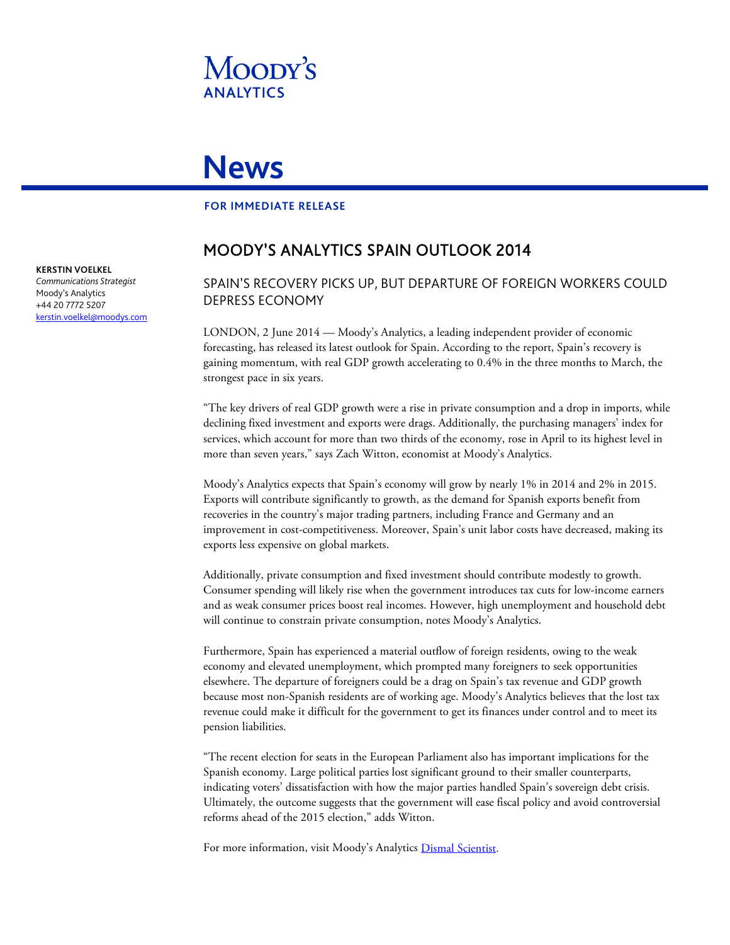

# **News**

#### **FOR IMMEDIATE RELEASE**

## MOODY'S ANALYTICS SPAIN OUTLOOK 2014

## SPAIN'S RECOVERY PICKS UP, BUT DEPARTURE OF FOREIGN WORKERS COULD DEPRESS ECONOMY

LONDON, 2 June 2014 — Moody's Analytics, a leading independent provider of economic forecasting, has released its latest outlook for Spain. According to the report, Spain's recovery is gaining momentum, with real GDP growth accelerating to 0.4% in the three months to March, the strongest pace in six years.

"The key drivers of real GDP growth were a rise in private consumption and a drop in imports, while declining fixed investment and exports were drags. Additionally, the purchasing managers' index for services, which account for more than two thirds of the economy, rose in April to its highest level in more than seven years," says Zach Witton, economist at Moody's Analytics.

Moody's Analytics expects that Spain's economy will grow by nearly 1% in 2014 and 2% in 2015. Exports will contribute significantly to growth, as the demand for Spanish exports benefit from recoveries in the country's major trading partners, including France and Germany and an improvement in cost-competitiveness. Moreover, Spain's unit labor costs have decreased, making its exports less expensive on global markets.

Additionally, private consumption and fixed investment should contribute modestly to growth. Consumer spending will likely rise when the government introduces tax cuts for low-income earners and as weak consumer prices boost real incomes. However, high unemployment and household debt will continue to constrain private consumption, notes Moody's Analytics.

Furthermore, Spain has experienced a material outflow of foreign residents, owing to the weak economy and elevated unemployment, which prompted many foreigners to seek opportunities elsewhere. The departure of foreigners could be a drag on Spain's tax revenue and GDP growth because most non-Spanish residents are of working age. Moody's Analytics believes that the lost tax revenue could make it difficult for the government to get its finances under control and to meet its pension liabilities.

"The recent election for seats in the European Parliament also has important implications for the Spanish economy. Large political parties lost significant ground to their smaller counterparts, indicating voters' dissatisfaction with how the major parties handled Spain's sovereign debt crisis. Ultimately, the outcome suggests that the government will ease fiscal policy and avoid controversial reforms ahead of the 2015 election," adds Witton.

For more information, visit Moody's Analytics [Dismal Scientist.](http://www.economy.com/dismal/)

**KERSTIN VOELKEL**

*Communications Strategist* Moody's Analytics +44 20 7772 5207 [kerstin.voelkel@moodys.com](mailto:kerstin.voelkel@moodys.com)